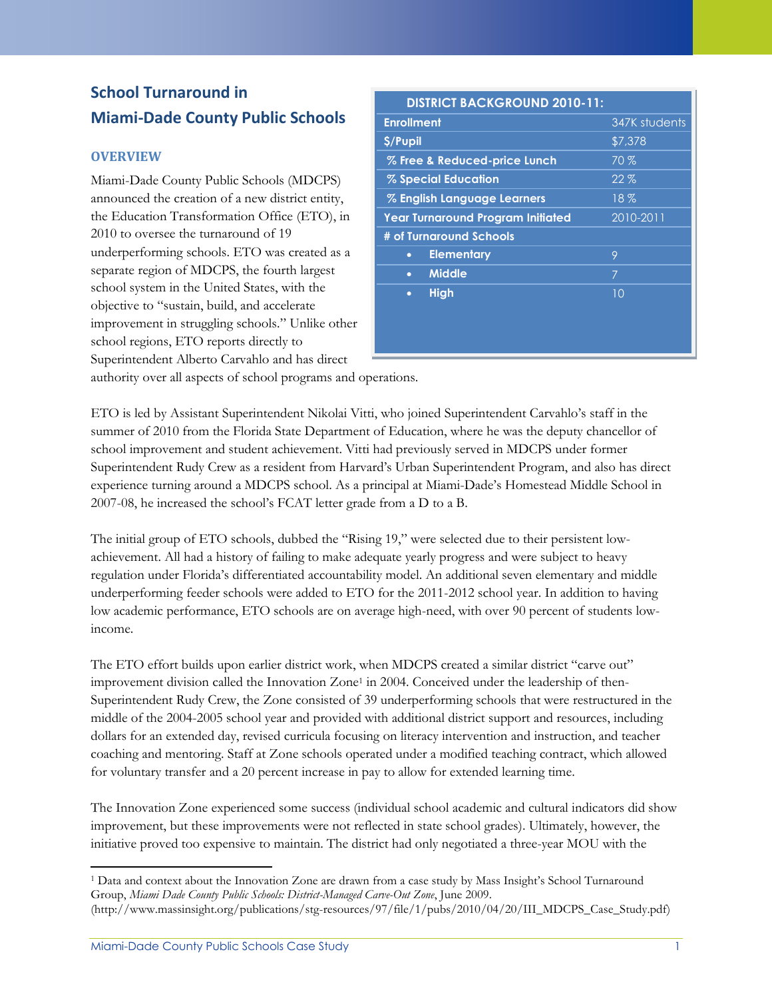## **School Turnaround in Miami-Dade County Public Schools**

### **OVERVIEW**

Miami-Dade County Public Schools (MDCPS) announced the creation of a new district entity, the Education Transformation Office (ETO), in 2010 to oversee the turnaround of 19 underperforming schools. ETO was created as a separate region of MDCPS, the fourth largest school system in the United States, with the objective to "sustain, build, and accelerate improvement in struggling schools." Unlike other school regions, ETO reports directly to Superintendent Alberto Carvahlo and has direct

| <b>DISTRICT BACKGROUND 2010-11:</b> |               |  |  |
|-------------------------------------|---------------|--|--|
| <b>Enrollment</b>                   | 347K students |  |  |
| \$/Pupil                            | \$7,378       |  |  |
| % Free & Reduced-price Lunch        | 70%           |  |  |
| % Special Education                 | 22%           |  |  |
| % English Language Learners         | $18\%$        |  |  |
| Year Turnaround Program Initiated   | 2010-2011     |  |  |
| # of Turnaround Schools             |               |  |  |
| <b>Elementary</b><br>$\bullet$      | 9             |  |  |
| <b>Middle</b><br>$\bullet$          | 7             |  |  |
| <b>High</b><br>$\bullet$            | 10            |  |  |
|                                     |               |  |  |
|                                     |               |  |  |
|                                     |               |  |  |

authority over all aspects of school programs and operations.

ETO is led by Assistant Superintendent Nikolai Vitti, who joined Superintendent Carvahlo's staff in the summer of 2010 from the Florida State Department of Education, where he was the deputy chancellor of school improvement and student achievement. Vitti had previously served in MDCPS under former Superintendent Rudy Crew as a resident from Harvard's Urban Superintendent Program, and also has direct experience turning around a MDCPS school. As a principal at Miami-Dade's Homestead Middle School in 2007-08, he increased the school's FCAT letter grade from a D to a B.

The initial group of ETO schools, dubbed the "Rising 19," were selected due to their persistent lowachievement. All had a history of failing to make adequate yearly progress and were subject to heavy regulation under Florida's differentiated accountability model. An additional seven elementary and middle underperforming feeder schools were added to ETO for the 2011-2012 school year. In addition to having low academic performance, ETO schools are on average high-need, with over 90 percent of students lowincome.

The ETO effort builds upon earlier district work, when MDCPS created a similar district "carve out" improvement division called the Innovation Zone<sup>1</sup> in 2004. Conceived under the leadership of then-Superintendent Rudy Crew, the Zone consisted of 39 underperforming schools that were restructured in the middle of the 2004-2005 school year and provided with additional district support and resources, including dollars for an extended day, revised curricula focusing on literacy intervention and instruction, and teacher coaching and mentoring. Staff at Zone schools operated under a modified teaching contract, which allowed for voluntary transfer and a 20 percent increase in pay to allow for extended learning time.

The Innovation Zone experienced some success (individual school academic and cultural indicators did show improvement, but these improvements were not reflected in state school grades). Ultimately, however, the initiative proved too expensive to maintain. The district had only negotiated a three-year MOU with the

<sup>1</sup> Data and context about the Innovation Zone are drawn from a case study by Mass Insight's School Turnaround Group, *Miami Dade County Public Schools: District-Managed Carve-Out Zone*, June 2009. (http://www.massinsight.org/publications/stg-resources/97/file/1/pubs/2010/04/20/III\_MDCPS\_Case\_Study.pdf)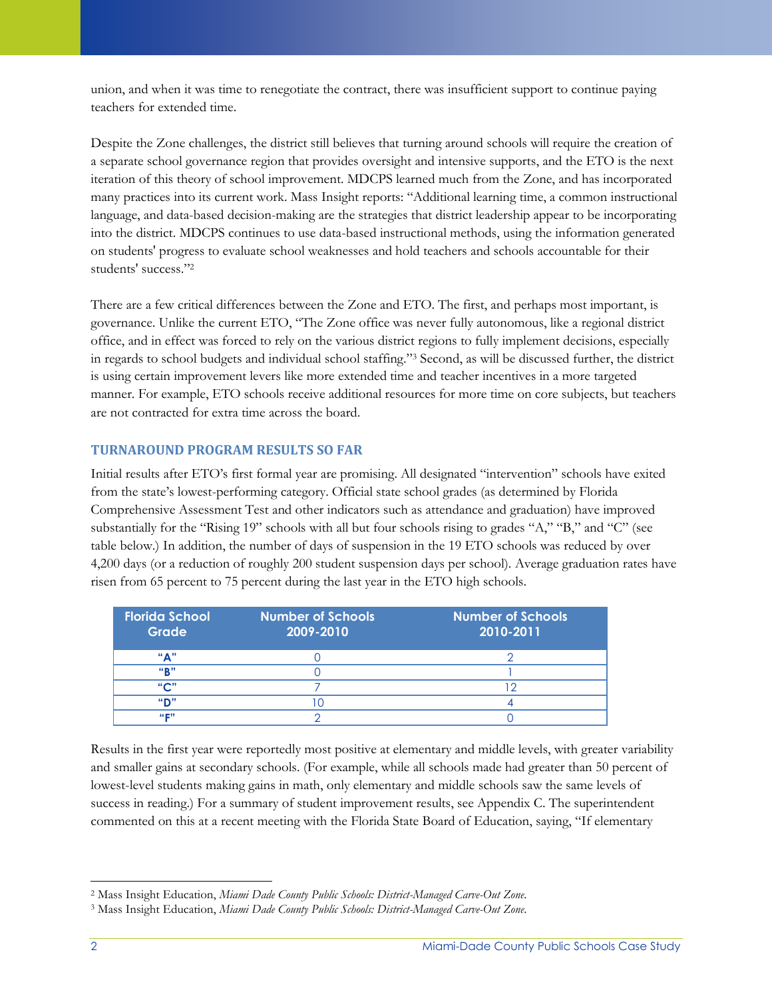union, and when it was time to renegotiate the contract, there was insufficient support to continue paying teachers for extended time.

Despite the Zone challenges, the district still believes that turning around schools will require the creation of a separate school governance region that provides oversight and intensive supports, and the ETO is the next iteration of this theory of school improvement. MDCPS learned much from the Zone, and has incorporated many practices into its current work. Mass Insight reports: "Additional learning time, a common instructional language, and data-based decision-making are the strategies that district leadership appear to be incorporating into the district. MDCPS continues to use data-based instructional methods, using the information generated on students' progress to evaluate school weaknesses and hold teachers and schools accountable for their students' success."<sup>2</sup>

There are a few critical differences between the Zone and ETO. The first, and perhaps most important, is governance. Unlike the current ETO, "The Zone office was never fully autonomous, like a regional district office, and in effect was forced to rely on the various district regions to fully implement decisions, especially in regards to school budgets and individual school staffing."<sup>3</sup> Second, as will be discussed further, the district is using certain improvement levers like more extended time and teacher incentives in a more targeted manner. For example, ETO schools receive additional resources for more time on core subjects, but teachers are not contracted for extra time across the board.

## **TURNAROUND PROGRAM RESULTS SO FAR**

Initial results after ETO's first formal year are promising. All designated "intervention" schools have exited from the state's lowest-performing category. Official state school grades (as determined by Florida Comprehensive Assessment Test and other indicators such as attendance and graduation) have improved substantially for the "Rising 19" schools with all but four schools rising to grades "A," "B," and "C" (see table below.) In addition, the number of days of suspension in the 19 ETO schools was reduced by over 4,200 days (or a reduction of roughly 200 student suspension days per school). Average graduation rates have risen from 65 percent to 75 percent during the last year in the ETO high schools.

| <b>Florida School</b><br>Grade | <b>Number of Schools</b><br>2009-2010 | <b>Number of Schools</b><br>2010-2011 |
|--------------------------------|---------------------------------------|---------------------------------------|
| "А"                            |                                       |                                       |
| "R"                            |                                       |                                       |
| "C"                            |                                       |                                       |
| "D"                            |                                       |                                       |
| 44 02 77                       |                                       |                                       |

Results in the first year were reportedly most positive at elementary and middle levels, with greater variability and smaller gains at secondary schools. (For example, while all schools made had greater than 50 percent of lowest-level students making gains in math, only elementary and middle schools saw the same levels of success in reading.) For a summary of student improvement results, see Appendix C. The superintendent commented on this at a recent meeting with the Florida State Board of Education, saying, "If elementary

 $\overline{\phantom{a}}$ <sup>2</sup> Mass Insight Education, *Miami Dade County Public Schools: District-Managed Carve-Out Zone*.

<sup>3</sup> Mass Insight Education, *Miami Dade County Public Schools: District-Managed Carve-Out Zone*.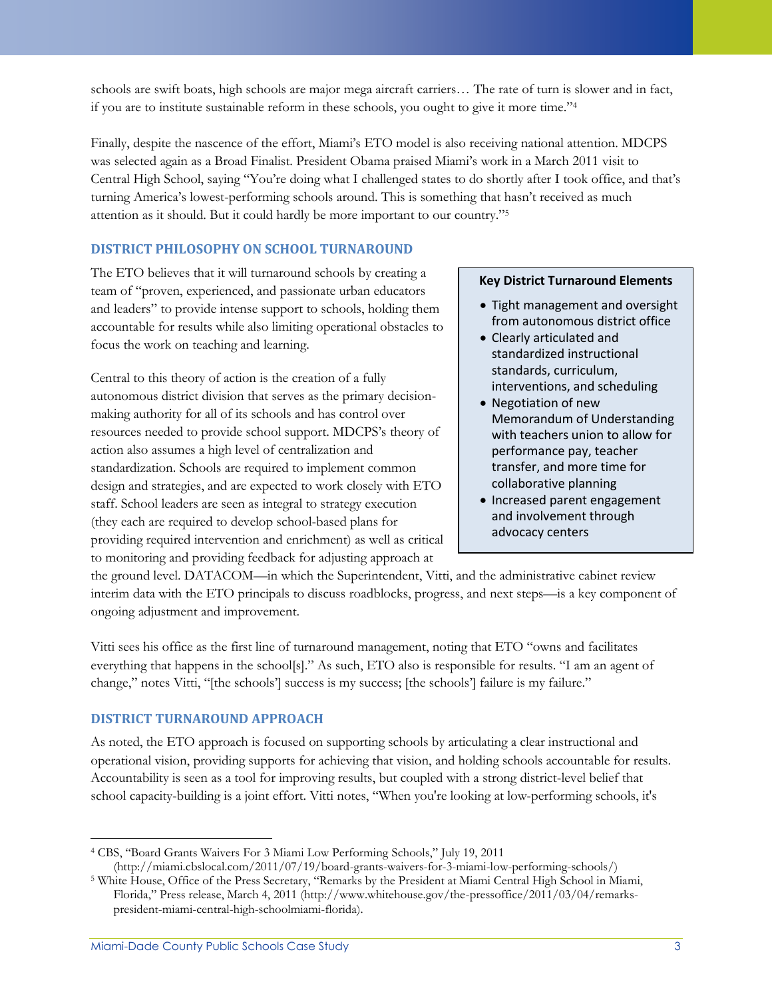schools are swift boats, high schools are major mega aircraft carriers… The rate of turn is slower and in fact, if you are to institute sustainable reform in these schools, you ought to give it more time."<sup>4</sup>

Finally, despite the nascence of the effort, Miami's ETO model is also receiving national attention. MDCPS was selected again as a Broad Finalist. President Obama praised Miami's work in a March 2011 visit to Central High School, saying "You're doing what I challenged states to do shortly after I took office, and that's turning America's lowest-performing schools around. This is something that hasn't received as much attention as it should. But it could hardly be more important to our country."<sup>5</sup>

## **DISTRICT PHILOSOPHY ON SCHOOL TURNAROUND**

The ETO believes that it will turnaround schools by creating a team of "proven, experienced, and passionate urban educators and leaders" to provide intense support to schools, holding them accountable for results while also limiting operational obstacles to focus the work on teaching and learning.

Central to this theory of action is the creation of a fully autonomous district division that serves as the primary decisionmaking authority for all of its schools and has control over resources needed to provide school support. MDCPS's theory of action also assumes a high level of centralization and standardization. Schools are required to implement common design and strategies, and are expected to work closely with ETO staff. School leaders are seen as integral to strategy execution (they each are required to develop school-based plans for providing required intervention and enrichment) as well as critical to monitoring and providing feedback for adjusting approach at

#### **Key District Turnaround Elements**

- Tight management and oversight from autonomous district office
- Clearly articulated and standardized instructional standards, curriculum, interventions, and scheduling
- Negotiation of new Memorandum of Understanding with teachers union to allow for performance pay, teacher transfer, and more time for collaborative planning
- Increased parent engagement and involvement through advocacy centers

the ground level. DATACOM—in which the Superintendent, Vitti, and the administrative cabinet review interim data with the ETO principals to discuss roadblocks, progress, and next steps—is a key component of ongoing adjustment and improvement.

Vitti sees his office as the first line of turnaround management, noting that ETO "owns and facilitates everything that happens in the school[s]." As such, ETO also is responsible for results. "I am an agent of change," notes Vitti, "[the schools'] success is my success; [the schools'] failure is my failure."

### **DISTRICT TURNAROUND APPROACH**

As noted, the ETO approach is focused on supporting schools by articulating a clear instructional and operational vision, providing supports for achieving that vision, and holding schools accountable for results. Accountability is seen as a tool for improving results, but coupled with a strong district-level belief that school capacity-building is a joint effort. Vitti notes, "When you're looking at low-performing schools, it's

l <sup>4</sup> CBS, "Board Grants Waivers For 3 Miami Low Performing Schools," July 19, 2011 (http://miami.cbslocal.com/2011/07/19/board-grants-waivers-for-3-miami-low-performing-schools/)

<sup>5</sup> White House, Office of the Press Secretary, "Remarks by the President at Miami Central High School in Miami, Florida," Press release, March 4, 2011 (http://www.whitehouse.gov/the-pressoffice/2011/03/04/remarkspresident-miami-central-high-schoolmiami-florida).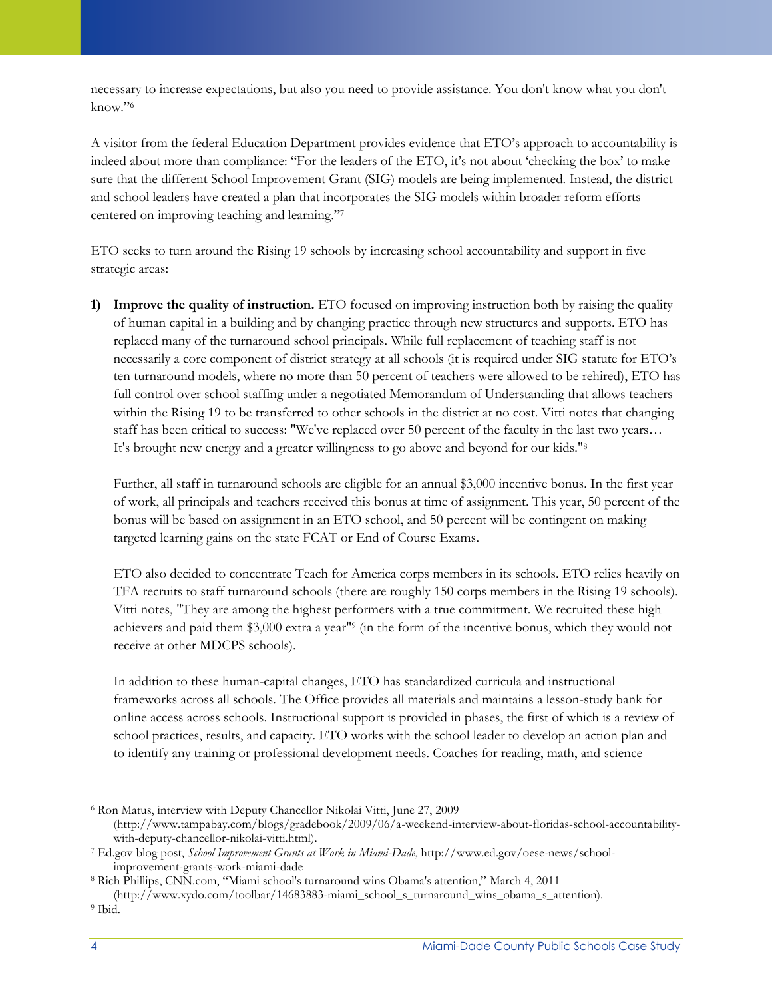necessary to increase expectations, but also you need to provide assistance. You don't know what you don't know."<sup>6</sup>

A visitor from the federal Education Department provides evidence that ETO's approach to accountability is indeed about more than compliance: "For the leaders of the ETO, it's not about 'checking the box' to make sure that the different School Improvement Grant (SIG) models are being implemented. Instead, the district and school leaders have created a plan that incorporates the SIG models within broader reform efforts centered on improving teaching and learning."<sup>7</sup>

ETO seeks to turn around the Rising 19 schools by increasing school accountability and support in five strategic areas:

**1) Improve the quality of instruction.** ETO focused on improving instruction both by raising the quality of human capital in a building and by changing practice through new structures and supports. ETO has replaced many of the turnaround school principals. While full replacement of teaching staff is not necessarily a core component of district strategy at all schools (it is required under SIG statute for ETO's ten turnaround models, where no more than 50 percent of teachers were allowed to be rehired), ETO has full control over school staffing under a negotiated Memorandum of Understanding that allows teachers within the Rising 19 to be transferred to other schools in the district at no cost. Vitti notes that changing staff has been critical to success: "We've replaced over 50 percent of the faculty in the last two years… It's brought new energy and a greater willingness to go above and beyond for our kids."<sup>8</sup>

Further, all staff in turnaround schools are eligible for an annual \$3,000 incentive bonus. In the first year of work, all principals and teachers received this bonus at time of assignment. This year, 50 percent of the bonus will be based on assignment in an ETO school, and 50 percent will be contingent on making targeted learning gains on the state FCAT or End of Course Exams.

ETO also decided to concentrate Teach for America corps members in its schools. ETO relies heavily on TFA recruits to staff turnaround schools (there are roughly 150 corps members in the Rising 19 schools). Vitti notes, "They are among the highest performers with a true commitment. We recruited these high achievers and paid them \$3,000 extra a year"<sup>9</sup> (in the form of the incentive bonus, which they would not receive at other MDCPS schools).

In addition to these human-capital changes, ETO has standardized curricula and instructional frameworks across all schools. The Office provides all materials and maintains a lesson-study bank for online access across schools. Instructional support is provided in phases, the first of which is a review of school practices, results, and capacity. ETO works with the school leader to develop an action plan and to identify any training or professional development needs. Coaches for reading, math, and science

 $\overline{\phantom{a}}$ <sup>6</sup> Ron Matus, interview with Deputy Chancellor Nikolai Vitti, June 27, 2009

<sup>(</sup>http://www.tampabay.com/blogs/gradebook/2009/06/a-weekend-interview-about-floridas-school-accountabilitywith-deputy-chancellor-nikolai-vitti.html).

<sup>7</sup> Ed.gov blog post, *School Improvement Grants at Work in Miami-Dade*, http://www.ed.gov/oese-news/schoolimprovement-grants-work-miami-dade

<sup>8</sup> Rich Phillips, CNN.com, "Miami school's turnaround wins Obama's attention," March 4, 2011

<sup>(</sup>http://www.xydo.com/toolbar/14683883-miami\_school\_s\_turnaround\_wins\_obama\_s\_attention).

<sup>9</sup> Ibid.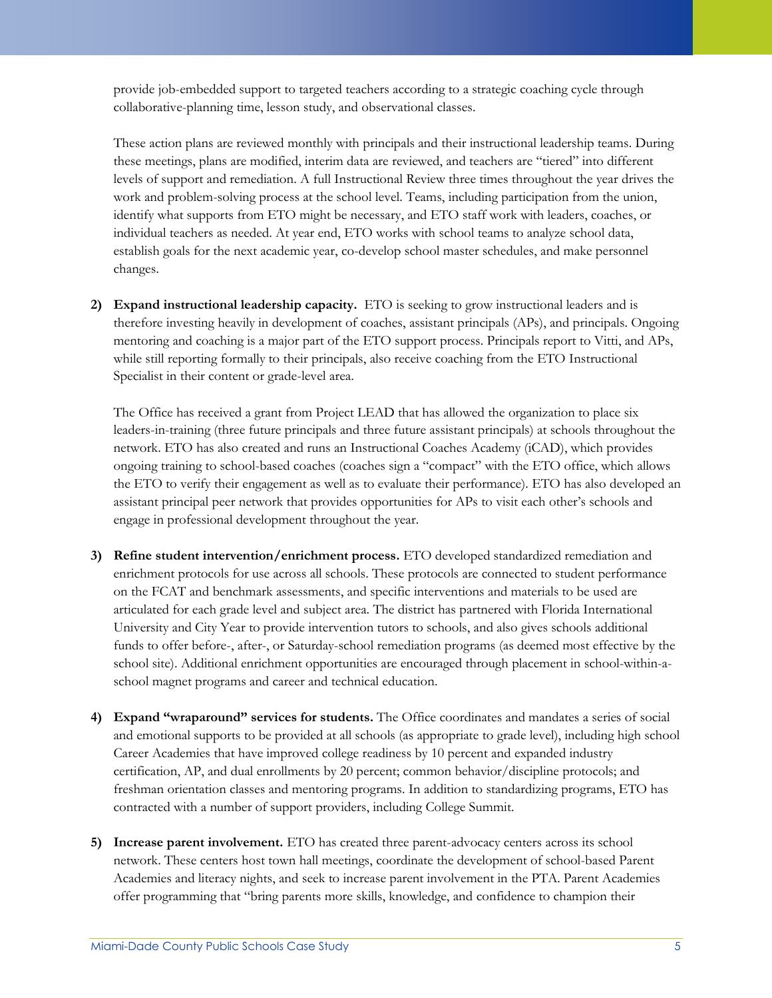provide job-embedded support to targeted teachers according to a strategic coaching cycle through collaborative-planning time, lesson study, and observational classes.

These action plans are reviewed monthly with principals and their instructional leadership teams. During these meetings, plans are modified, interim data are reviewed, and teachers are "tiered" into different levels of support and remediation. A full Instructional Review three times throughout the year drives the work and problem-solving process at the school level. Teams, including participation from the union, identify what supports from ETO might be necessary, and ETO staff work with leaders, coaches, or individual teachers as needed. At year end, ETO works with school teams to analyze school data, establish goals for the next academic year, co-develop school master schedules, and make personnel changes.

**2) Expand instructional leadership capacity.** ETO is seeking to grow instructional leaders and is therefore investing heavily in development of coaches, assistant principals (APs), and principals. Ongoing mentoring and coaching is a major part of the ETO support process. Principals report to Vitti, and APs, while still reporting formally to their principals, also receive coaching from the ETO Instructional Specialist in their content or grade-level area.

The Office has received a grant from Project LEAD that has allowed the organization to place six leaders-in-training (three future principals and three future assistant principals) at schools throughout the network. ETO has also created and runs an Instructional Coaches Academy (iCAD), which provides ongoing training to school-based coaches (coaches sign a "compact" with the ETO office, which allows the ETO to verify their engagement as well as to evaluate their performance). ETO has also developed an assistant principal peer network that provides opportunities for APs to visit each other's schools and engage in professional development throughout the year.

- **3) Refine student intervention/enrichment process.** ETO developed standardized remediation and enrichment protocols for use across all schools. These protocols are connected to student performance on the FCAT and benchmark assessments, and specific interventions and materials to be used are articulated for each grade level and subject area. The district has partnered with Florida International University and City Year to provide intervention tutors to schools, and also gives schools additional funds to offer before-, after-, or Saturday-school remediation programs (as deemed most effective by the school site). Additional enrichment opportunities are encouraged through placement in school-within-aschool magnet programs and career and technical education.
- **4) Expand "wraparound" services for students.** The Office coordinates and mandates a series of social and emotional supports to be provided at all schools (as appropriate to grade level), including high school Career Academies that have improved college readiness by 10 percent and expanded industry certification, AP, and dual enrollments by 20 percent; common behavior/discipline protocols; and freshman orientation classes and mentoring programs. In addition to standardizing programs, ETO has contracted with a number of support providers, including College Summit.
- **5) Increase parent involvement.** ETO has created three parent-advocacy centers across its school network. These centers host town hall meetings, coordinate the development of school-based Parent Academies and literacy nights, and seek to increase parent involvement in the PTA. Parent Academies offer programming that "bring parents more skills, knowledge, and confidence to champion their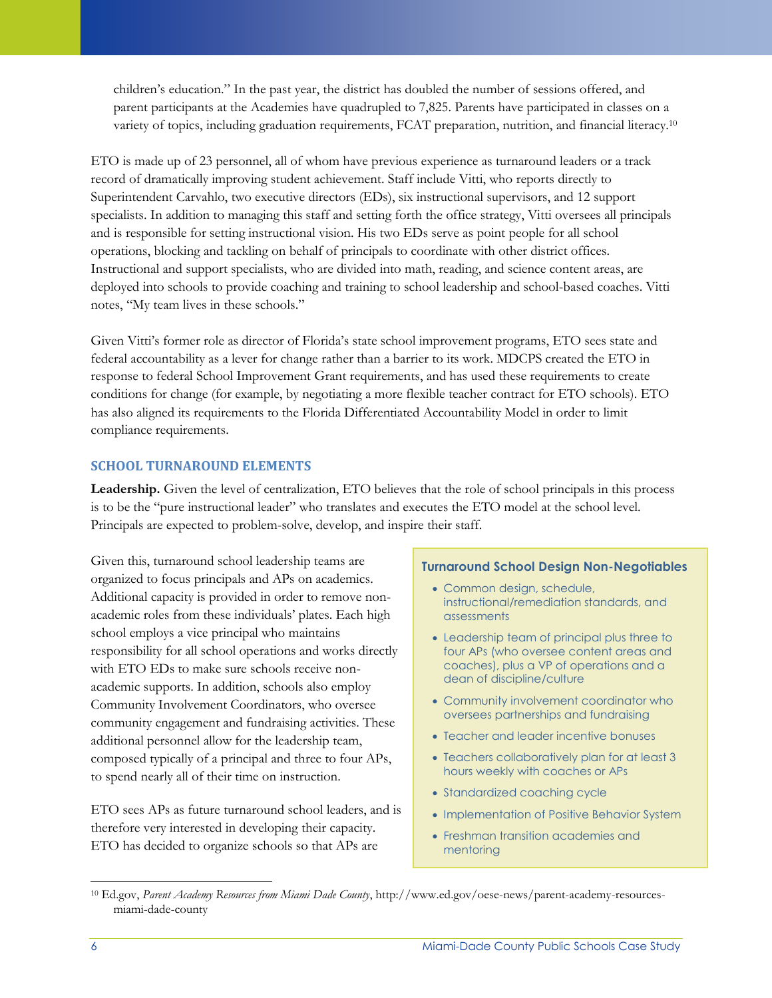children's education." In the past year, the district has doubled the number of sessions offered, and parent participants at the Academies have quadrupled to 7,825. Parents have participated in classes on a variety of topics, including graduation requirements, FCAT preparation, nutrition, and financial literacy.<sup>10</sup>

ETO is made up of 23 personnel, all of whom have previous experience as turnaround leaders or a track record of dramatically improving student achievement. Staff include Vitti, who reports directly to Superintendent Carvahlo, two executive directors (EDs), six instructional supervisors, and 12 support specialists. In addition to managing this staff and setting forth the office strategy, Vitti oversees all principals and is responsible for setting instructional vision. His two EDs serve as point people for all school operations, blocking and tackling on behalf of principals to coordinate with other district offices. Instructional and support specialists, who are divided into math, reading, and science content areas, are deployed into schools to provide coaching and training to school leadership and school-based coaches. Vitti notes, "My team lives in these schools."

Given Vitti's former role as director of Florida's state school improvement programs, ETO sees state and federal accountability as a lever for change rather than a barrier to its work. MDCPS created the ETO in response to federal School Improvement Grant requirements, and has used these requirements to create conditions for change (for example, by negotiating a more flexible teacher contract for ETO schools). ETO has also aligned its requirements to the Florida Differentiated Accountability Model in order to limit compliance requirements.

### **SCHOOL TURNAROUND ELEMENTS**

**Leadership.** Given the level of centralization, ETO believes that the role of school principals in this process is to be the "pure instructional leader" who translates and executes the ETO model at the school level. Principals are expected to problem-solve, develop, and inspire their staff.

Given this, turnaround school leadership teams are organized to focus principals and APs on academics. Additional capacity is provided in order to remove nonacademic roles from these individuals' plates. Each high school employs a vice principal who maintains responsibility for all school operations and works directly with ETO EDs to make sure schools receive nonacademic supports. In addition, schools also employ Community Involvement Coordinators, who oversee community engagement and fundraising activities. These additional personnel allow for the leadership team, composed typically of a principal and three to four APs, to spend nearly all of their time on instruction.

ETO sees APs as future turnaround school leaders, and is therefore very interested in developing their capacity. ETO has decided to organize schools so that APs are

#### **Turnaround School Design Non-Negotiables**

- Common design, schedule, instructional/remediation standards, and assessments
- Leadership team of principal plus three to four APs (who oversee content areas and coaches), plus a VP of operations and a dean of discipline/culture
- Community involvement coordinator who oversees partnerships and fundraising
- Teacher and leader incentive bonuses
- Teachers collaboratively plan for at least 3 hours weekly with coaches or APs
- Standardized coaching cycle
- Implementation of Positive Behavior System
- Freshman transition academies and mentoring

<sup>10</sup> Ed.gov, *Parent Academy Resources from Miami Dade County*, http://www.ed.gov/oese-news/parent-academy-resourcesmiami-dade-county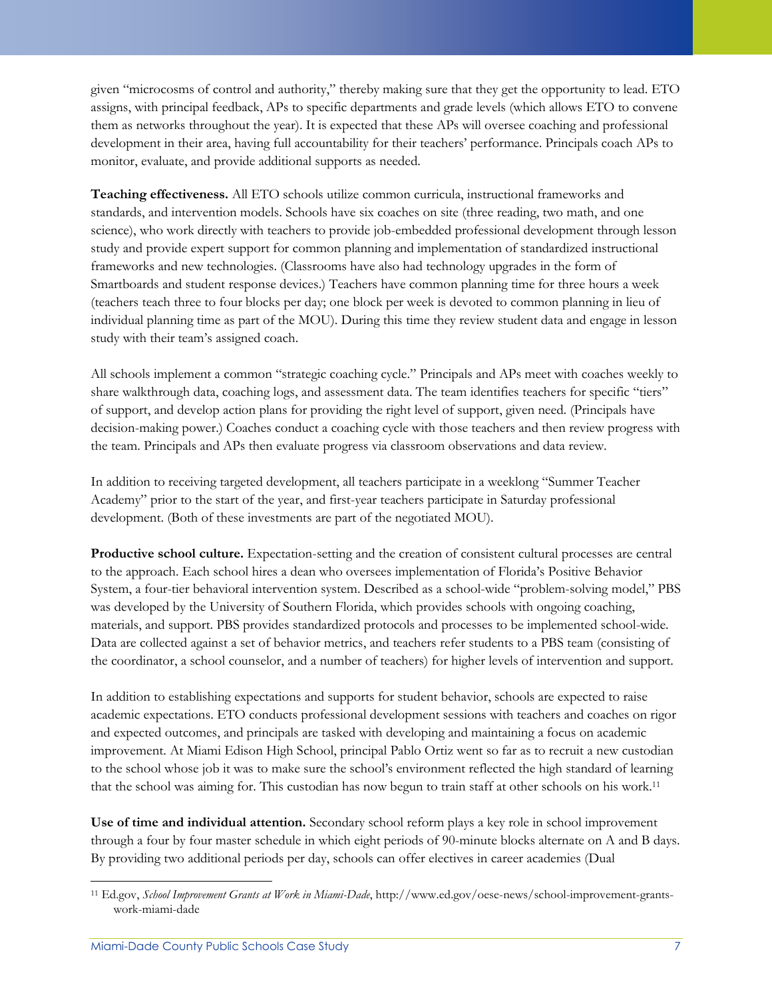given "microcosms of control and authority," thereby making sure that they get the opportunity to lead. ETO assigns, with principal feedback, APs to specific departments and grade levels (which allows ETO to convene them as networks throughout the year). It is expected that these APs will oversee coaching and professional development in their area, having full accountability for their teachers' performance. Principals coach APs to monitor, evaluate, and provide additional supports as needed.

**Teaching effectiveness.** All ETO schools utilize common curricula, instructional frameworks and standards, and intervention models. Schools have six coaches on site (three reading, two math, and one science), who work directly with teachers to provide job-embedded professional development through lesson study and provide expert support for common planning and implementation of standardized instructional frameworks and new technologies. (Classrooms have also had technology upgrades in the form of Smartboards and student response devices.) Teachers have common planning time for three hours a week (teachers teach three to four blocks per day; one block per week is devoted to common planning in lieu of individual planning time as part of the MOU). During this time they review student data and engage in lesson study with their team's assigned coach.

All schools implement a common "strategic coaching cycle." Principals and APs meet with coaches weekly to share walkthrough data, coaching logs, and assessment data. The team identifies teachers for specific "tiers" of support, and develop action plans for providing the right level of support, given need. (Principals have decision-making power.) Coaches conduct a coaching cycle with those teachers and then review progress with the team. Principals and APs then evaluate progress via classroom observations and data review.

In addition to receiving targeted development, all teachers participate in a weeklong "Summer Teacher Academy" prior to the start of the year, and first-year teachers participate in Saturday professional development. (Both of these investments are part of the negotiated MOU).

**Productive school culture.** Expectation-setting and the creation of consistent cultural processes are central to the approach. Each school hires a dean who oversees implementation of Florida's Positive Behavior System, a four-tier behavioral intervention system. Described as a school-wide "problem-solving model," PBS was developed by the University of Southern Florida, which provides schools with ongoing coaching, materials, and support. PBS provides standardized protocols and processes to be implemented school-wide. Data are collected against a set of behavior metrics, and teachers refer students to a PBS team (consisting of the coordinator, a school counselor, and a number of teachers) for higher levels of intervention and support.

In addition to establishing expectations and supports for student behavior, schools are expected to raise academic expectations. ETO conducts professional development sessions with teachers and coaches on rigor and expected outcomes, and principals are tasked with developing and maintaining a focus on academic improvement. At Miami Edison High School, principal Pablo Ortiz went so far as to recruit a new custodian to the school whose job it was to make sure the school's environment reflected the high standard of learning that the school was aiming for. This custodian has now begun to train staff at other schools on his work.<sup>11</sup>

**Use of time and individual attention.** Secondary school reform plays a key role in school improvement through a four by four master schedule in which eight periods of 90-minute blocks alternate on A and B days. By providing two additional periods per day, schools can offer electives in career academies (Dual

 $\overline{\phantom{a}}$ <sup>11</sup> Ed.gov, *School Improvement Grants at Work in Miami-Dade*, http://www.ed.gov/oese-news/school-improvement-grantswork-miami-dade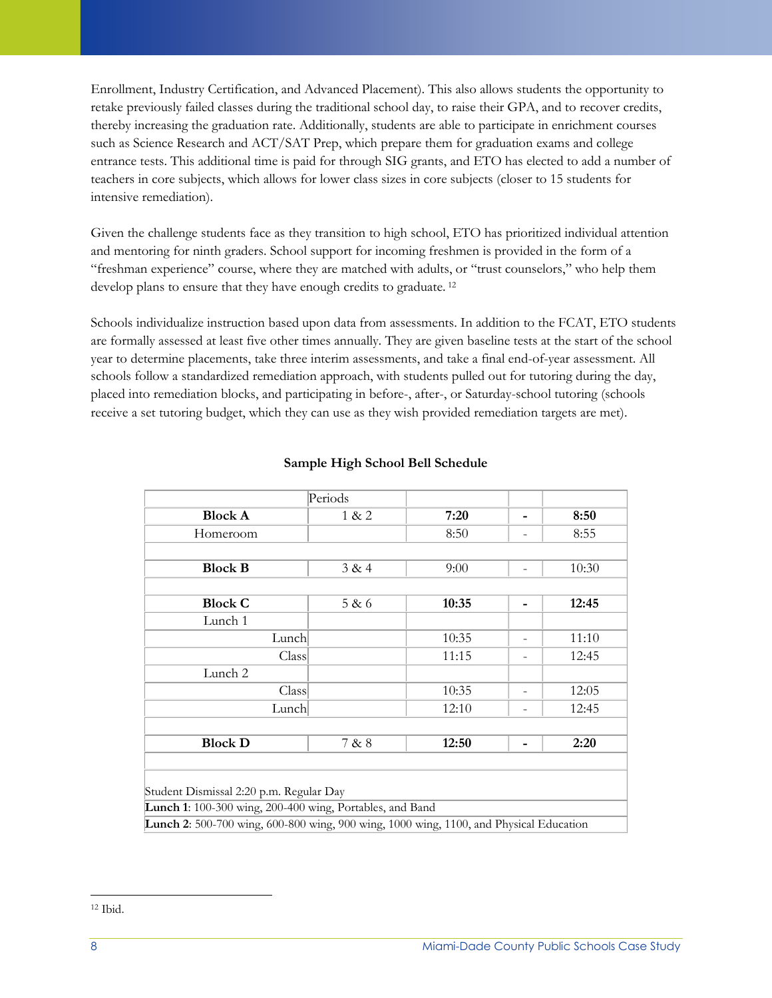Enrollment, Industry Certification, and Advanced Placement). This also allows students the opportunity to retake previously failed classes during the traditional school day, to raise their GPA, and to recover credits, thereby increasing the graduation rate. Additionally, students are able to participate in enrichment courses such as Science Research and ACT/SAT Prep, which prepare them for graduation exams and college entrance tests. This additional time is paid for through SIG grants, and ETO has elected to add a number of teachers in core subjects, which allows for lower class sizes in core subjects (closer to 15 students for intensive remediation).

Given the challenge students face as they transition to high school, ETO has prioritized individual attention and mentoring for ninth graders. School support for incoming freshmen is provided in the form of a "freshman experience" course, where they are matched with adults, or "trust counselors," who help them develop plans to ensure that they have enough credits to graduate. <sup>12</sup>

Schools individualize instruction based upon data from assessments. In addition to the FCAT, ETO students are formally assessed at least five other times annually. They are given baseline tests at the start of the school year to determine placements, take three interim assessments, and take a final end-of-year assessment. All schools follow a standardized remediation approach, with students pulled out for tutoring during the day, placed into remediation blocks, and participating in before-, after-, or Saturday-school tutoring (schools receive a set tutoring budget, which they can use as they wish provided remediation targets are met).

|                                                                                               | Periods |       |  |       |  |
|-----------------------------------------------------------------------------------------------|---------|-------|--|-------|--|
| <b>Block A</b>                                                                                | 1 & 2   | 7:20  |  | 8:50  |  |
| Homeroom                                                                                      |         | 8:50  |  | 8:55  |  |
|                                                                                               |         |       |  |       |  |
| <b>Block B</b>                                                                                | 3 & 4   | 9:00  |  | 10:30 |  |
|                                                                                               |         |       |  |       |  |
| <b>Block C</b>                                                                                | 5 & 6   | 10:35 |  | 12:45 |  |
| Lunch 1                                                                                       |         |       |  |       |  |
| Lunch                                                                                         |         | 10:35 |  | 11:10 |  |
| Class                                                                                         |         | 11:15 |  | 12:45 |  |
| Lunch 2                                                                                       |         |       |  |       |  |
| Class                                                                                         |         | 10:35 |  | 12:05 |  |
| Lunch                                                                                         |         | 12:10 |  | 12:45 |  |
|                                                                                               |         |       |  |       |  |
| <b>Block D</b>                                                                                | 7 & 8   | 12:50 |  | 2:20  |  |
|                                                                                               |         |       |  |       |  |
| Student Dismissal 2:20 p.m. Regular Day                                                       |         |       |  |       |  |
| Lunch 1: 100-300 wing, 200-400 wing, Portables, and Band                                      |         |       |  |       |  |
| <b>Lunch 2:</b> 500-700 wing, 600-800 wing, 900 wing, 1000 wing, 1100, and Physical Education |         |       |  |       |  |

#### **Sample High School Bell Schedule**

l <sup>12</sup> Ibid.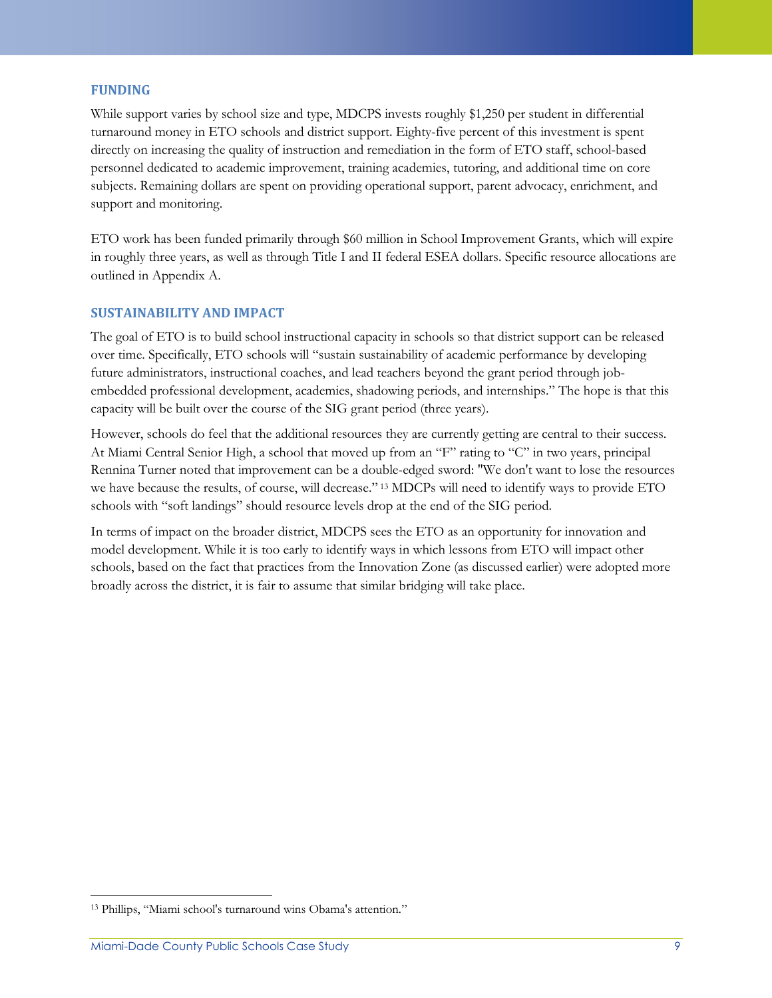#### **FUNDING**

While support varies by school size and type, MDCPS invests roughly \$1,250 per student in differential turnaround money in ETO schools and district support. Eighty-five percent of this investment is spent directly on increasing the quality of instruction and remediation in the form of ETO staff, school-based personnel dedicated to academic improvement, training academies, tutoring, and additional time on core subjects. Remaining dollars are spent on providing operational support, parent advocacy, enrichment, and support and monitoring.

ETO work has been funded primarily through \$60 million in School Improvement Grants, which will expire in roughly three years, as well as through Title I and II federal ESEA dollars. Specific resource allocations are outlined in Appendix A.

#### **SUSTAINABILITY AND IMPACT**

The goal of ETO is to build school instructional capacity in schools so that district support can be released over time. Specifically, ETO schools will "sustain sustainability of academic performance by developing future administrators, instructional coaches, and lead teachers beyond the grant period through jobembedded professional development, academies, shadowing periods, and internships." The hope is that this capacity will be built over the course of the SIG grant period (three years).

However, schools do feel that the additional resources they are currently getting are central to their success. At Miami Central Senior High, a school that moved up from an "F" rating to "C" in two years, principal Rennina Turner noted that improvement can be a double-edged sword: "We don't want to lose the resources we have because the results, of course, will decrease." <sup>13</sup> MDCPs will need to identify ways to provide ETO schools with "soft landings" should resource levels drop at the end of the SIG period.

In terms of impact on the broader district, MDCPS sees the ETO as an opportunity for innovation and model development. While it is too early to identify ways in which lessons from ETO will impact other schools, based on the fact that practices from the Innovation Zone (as discussed earlier) were adopted more broadly across the district, it is fair to assume that similar bridging will take place.

l

<sup>13</sup> Phillips, "Miami school's turnaround wins Obama's attention."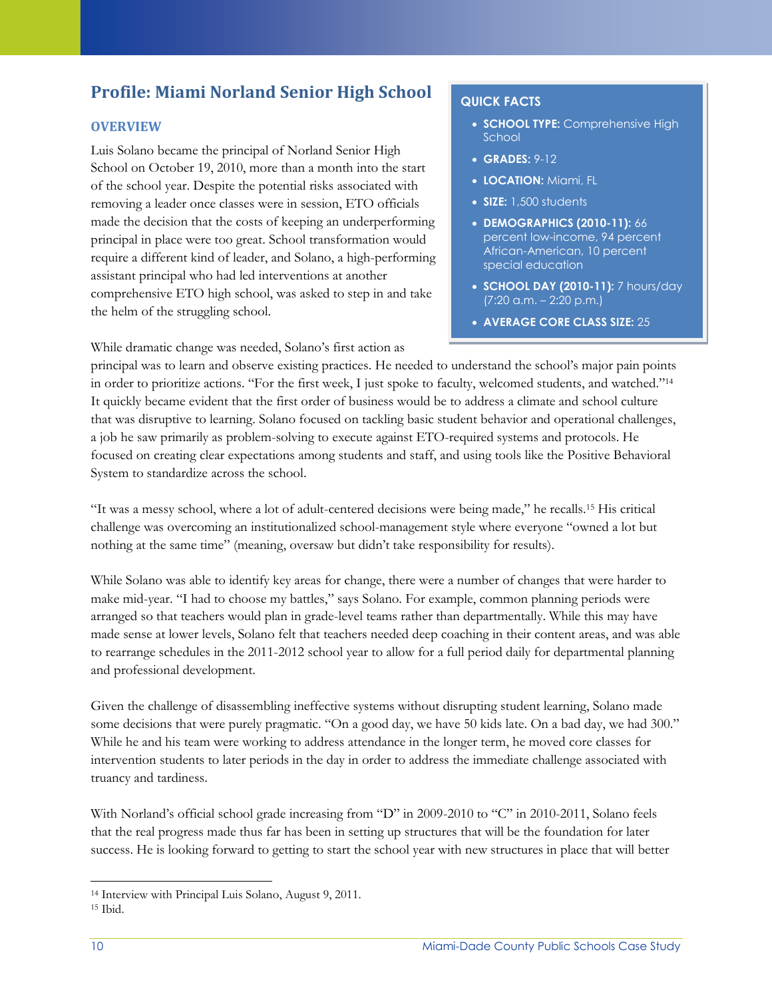# **Profile: Miami Norland Senior High School**

## **OVERVIEW**

Luis Solano became the principal of Norland Senior High School on October 19, 2010, more than a month into the start of the school year. Despite the potential risks associated with removing a leader once classes were in session, ETO officials made the decision that the costs of keeping an underperforming principal in place were too great. School transformation would require a different kind of leader, and Solano, a high-performing assistant principal who had led interventions at another comprehensive ETO high school, was asked to step in and take the helm of the struggling school.

While dramatic change was needed, Solano's first action as

## **QUICK FACTS**

- **SCHOOL TYPE: Comprehensive High** School
- **GRADES:** 9-12

students

- **LOCATION:** Miami, FL
- **SIZE:** 1,500 students
- **DEMOGRAPHICS (2010-11):** 66 percent low-income, 94 percent African-American, 10 percent special education
- **SCHOOL DAY (2010-11):** 7 hours/day (7:20 a.m. – 2:20 p.m.)
- **AVERAGE CORE CLASS SIZE:** 25

principal was to learn and observe existing practices. He needed to understand the school's major pain points in order to prioritize actions. "For the first week, I just spoke to faculty, welcomed students, and watched."<sup>14</sup> It quickly became evident that the first order of business would be to address a climate and school culture that was disruptive to learning. Solano focused on tackling basic student behavior and operational challenges, a job he saw primarily as problem-solving to execute against ETO-required systems and protocols. He focused on creating clear expectations among students and staff, and using tools like the Positive Behavioral System to standardize across the school.

"It was a messy school, where a lot of adult-centered decisions were being made," he recalls.<sup>15</sup> His critical challenge was overcoming an institutionalized school-management style where everyone "owned a lot but nothing at the same time" (meaning, oversaw but didn't take responsibility for results).

While Solano was able to identify key areas for change, there were a number of changes that were harder to make mid-year. "I had to choose my battles," says Solano. For example, common planning periods were arranged so that teachers would plan in grade-level teams rather than departmentally. While this may have made sense at lower levels, Solano felt that teachers needed deep coaching in their content areas, and was able to rearrange schedules in the 2011-2012 school year to allow for a full period daily for departmental planning and professional development.

Given the challenge of disassembling ineffective systems without disrupting student learning, Solano made some decisions that were purely pragmatic. "On a good day, we have 50 kids late. On a bad day, we had 300." While he and his team were working to address attendance in the longer term, he moved core classes for intervention students to later periods in the day in order to address the immediate challenge associated with truancy and tardiness.

With Norland's official school grade increasing from "D" in 2009-2010 to "C" in 2010-2011, Solano feels that the real progress made thus far has been in setting up structures that will be the foundation for later success. He is looking forward to getting to start the school year with new structures in place that will better

<sup>14</sup> Interview with Principal Luis Solano, August 9, 2011.

<sup>15</sup> Ibid.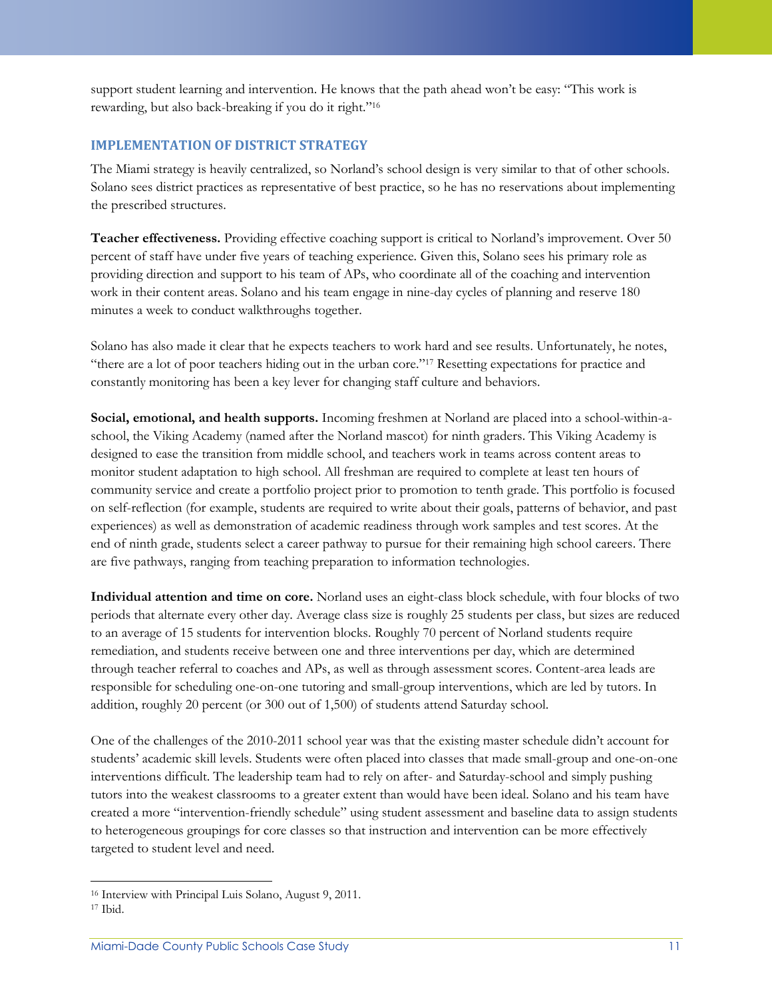support student learning and intervention. He knows that the path ahead won't be easy: "This work is rewarding, but also back-breaking if you do it right."<sup>16</sup>

#### **IMPLEMENTATION OF DISTRICT STRATEGY**

The Miami strategy is heavily centralized, so Norland's school design is very similar to that of other schools. Solano sees district practices as representative of best practice, so he has no reservations about implementing the prescribed structures.

**Teacher effectiveness.** Providing effective coaching support is critical to Norland's improvement. Over 50 percent of staff have under five years of teaching experience. Given this, Solano sees his primary role as providing direction and support to his team of APs, who coordinate all of the coaching and intervention work in their content areas. Solano and his team engage in nine-day cycles of planning and reserve 180 minutes a week to conduct walkthroughs together.

Solano has also made it clear that he expects teachers to work hard and see results. Unfortunately, he notes, "there are a lot of poor teachers hiding out in the urban core."<sup>17</sup> Resetting expectations for practice and constantly monitoring has been a key lever for changing staff culture and behaviors.

**Social, emotional, and health supports.** Incoming freshmen at Norland are placed into a school-within-aschool, the Viking Academy (named after the Norland mascot) for ninth graders. This Viking Academy is designed to ease the transition from middle school, and teachers work in teams across content areas to monitor student adaptation to high school. All freshman are required to complete at least ten hours of community service and create a portfolio project prior to promotion to tenth grade. This portfolio is focused on self-reflection (for example, students are required to write about their goals, patterns of behavior, and past experiences) as well as demonstration of academic readiness through work samples and test scores. At the end of ninth grade, students select a career pathway to pursue for their remaining high school careers. There are five pathways, ranging from teaching preparation to information technologies.

**Individual attention and time on core.** Norland uses an eight-class block schedule, with four blocks of two periods that alternate every other day. Average class size is roughly 25 students per class, but sizes are reduced to an average of 15 students for intervention blocks. Roughly 70 percent of Norland students require remediation, and students receive between one and three interventions per day, which are determined through teacher referral to coaches and APs, as well as through assessment scores. Content-area leads are responsible for scheduling one-on-one tutoring and small-group interventions, which are led by tutors. In addition, roughly 20 percent (or 300 out of 1,500) of students attend Saturday school.

One of the challenges of the 2010-2011 school year was that the existing master schedule didn't account for students' academic skill levels. Students were often placed into classes that made small-group and one-on-one interventions difficult. The leadership team had to rely on after- and Saturday-school and simply pushing tutors into the weakest classrooms to a greater extent than would have been ideal. Solano and his team have created a more "intervention-friendly schedule" using student assessment and baseline data to assign students to heterogeneous groupings for core classes so that instruction and intervention can be more effectively targeted to student level and need.

<sup>16</sup> Interview with Principal Luis Solano, August 9, 2011.

<sup>17</sup> Ibid.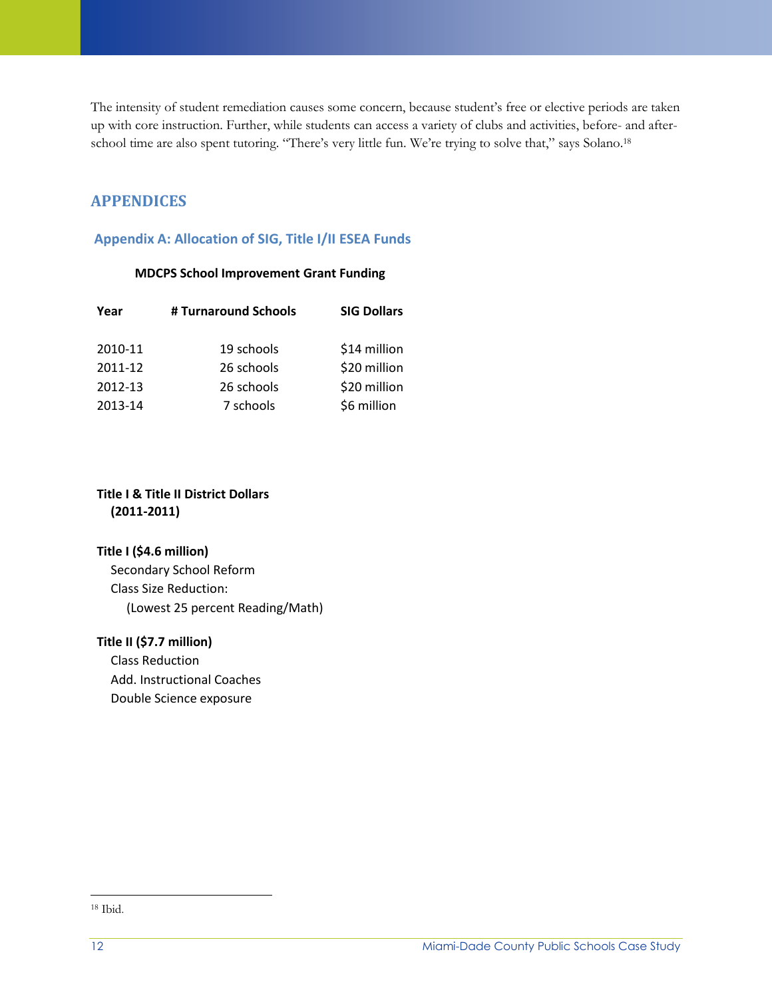The intensity of student remediation causes some concern, because student's free or elective periods are taken up with core instruction. Further, while students can access a variety of clubs and activities, before- and afterschool time are also spent tutoring. "There's very little fun. We're trying to solve that," says Solano.<sup>18</sup>

## **APPENDICES**

## **Appendix A: Allocation of SIG, Title I/II ESEA Funds**

#### **MDCPS School Improvement Grant Funding**

| # Turnaround Schools<br>Year |            | <b>SIG Dollars</b> |  |
|------------------------------|------------|--------------------|--|
| 2010-11                      | 19 schools | \$14 million       |  |
| 2011-12                      | 26 schools | \$20 million       |  |
| 2012-13                      | 26 schools | \$20 million       |  |
| 2013-14                      | 7 schools  | \$6 million        |  |

### **Title I & Title II District Dollars (2011-2011)**

### **Title I (\$4.6 million)**

Secondary School Reform Class Size Reduction: (Lowest 25 percent Reading/Math)

### **Title II (\$7.7 million)**

Class Reduction Add. Instructional Coaches Double Science exposure

l <sup>18</sup> Ibid.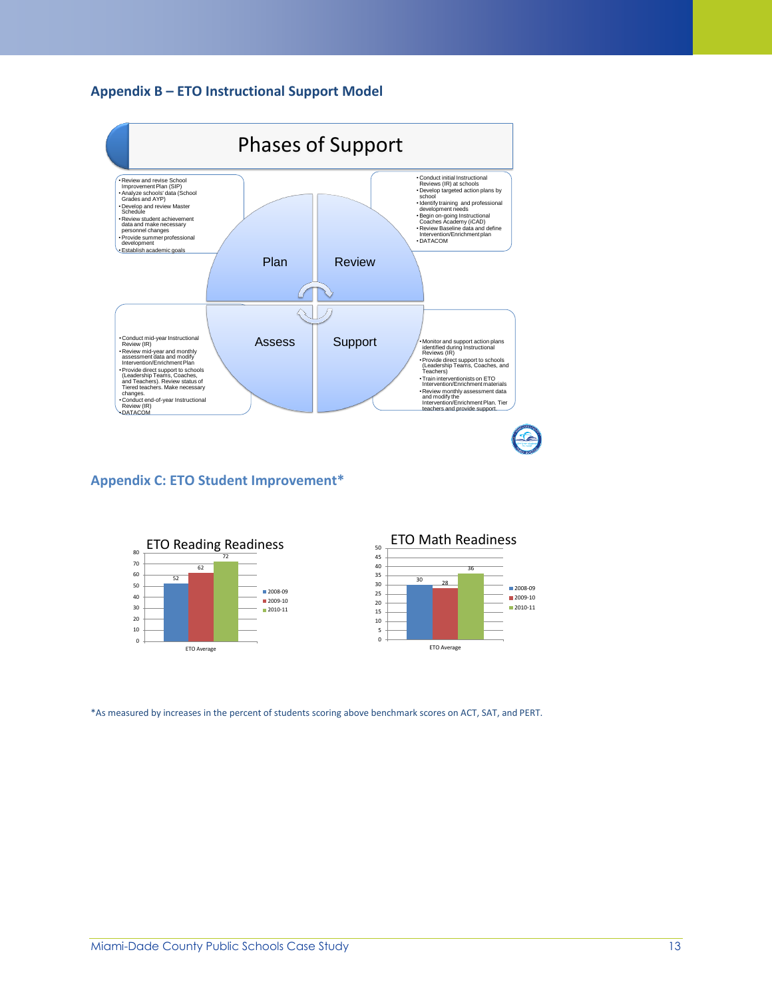#### **Appendix B – ETO Instructional Support Model**



## **Appendix C: ETO Student Improvement\***



\*As measured by increases in the percent of students scoring above benchmark scores on ACT, SAT, and PERT.